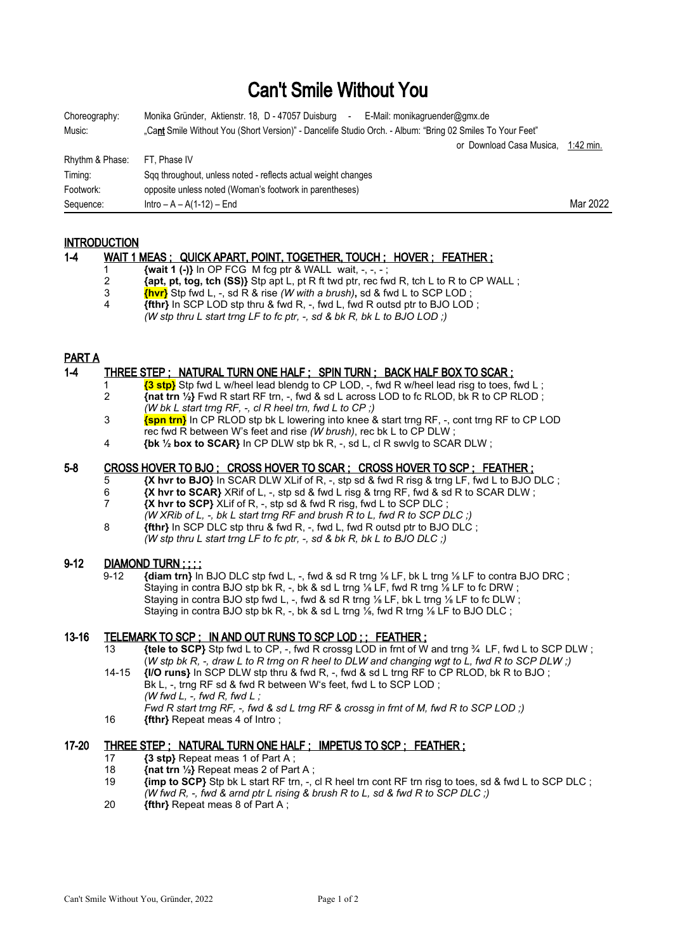# Can't Smile Without You

| Choreography:   | Monika Gründer, Aktienstr. 18, D - 47057 Duisburg<br>E-Mail: monikagruender@gmx.de<br>$\sim$              |           |
|-----------------|-----------------------------------------------------------------------------------------------------------|-----------|
| Music:          | "Cant Smile Without You (Short Version)" - Dancelife Studio Orch. - Album: "Bring 02 Smiles To Your Feet" |           |
|                 | or Download Casa Musica,                                                                                  | 1:42 min. |
| Rhythm & Phase: | FT. Phase IV                                                                                              |           |
| Timing:         | Sqq throughout, unless noted - reflects actual weight changes                                             |           |
| Footwork:       | opposite unless noted (Woman's footwork in parentheses)                                                   |           |
| Sequence:       | $Intro - A - A(1-12) - End$                                                                               | Mar 2022  |

## **INTRODUCTION**

#### 1-4 WAIT 1 MEAS; QUICK APART, POINT, TOGETHER, TOUCH; HOVER; FEATHER; 1 **{wait 1 (-)}** In OP FCG M fcg ptr & WALL wait, -, -, -;<br>2 *{apt. pt. tog. tch (SS)}* Stp apt L, pt R ft twd ptr. rec fw 2 **{apt, pt, tog, tch (SS)}** Stp apt L, pt R ft twd ptr, rec fwd R, tch L to R to CP WALL ;<br>3 **Then** Stp fwd L, -, sd R & rise *(W with a brush)*, sd & fwd L to SCP LOD ; 3 **{hvr}** Stp fwd L, -, sd R & rise *(W with a brush)***,** sd & fwd L to SCP LOD ; 4 **{fthr}** In SCP LOD stp thru & fwd R, -, fwd L, fwd R outsd ptr to BJO LOD ;

*(W stp thru L start trng LF to fc ptr, -, sd & bk R, bk L to BJO LOD ;)*

## PART A

## 1-4 THREE STEP ; NATURAL TURN ONE HALF ; SPIN TURN ; BACK HALF BOX TO SCAR ;

- **{3 stp}** Stp fwd L w/heel lead blendg to CP LOD, -, fwd R w/heel lead risg to toes, fwd L; 2 **{nat trn ½}** Fwd R start RF trn, -, fwd & sd L across LOD to fc RLOD, bk R to CP RLOD ; *(W bk L start trng RF, -, cl R heel trn, fwd L to CP ;)*
- **{spn trn}** In CP RLOD stp bk L lowering into knee & start trng RF, -, cont trng RF to CP LOD rec fwd R between W's feet and rise *(W brush)*, rec bk L to CP DLW ;
- 4 **{bk ½ box to SCAR}** In CP DLW stp bk R, -, sd L, cl R swvlg to SCAR DLW ;

#### 5-8 CROSS HOVER TO BJO ; CROSS HOVER TO SCAR ; CROSS HOVER TO SCP ; FEATHER ;

- 5 **{X hvr to BJO}** In SCAR DLW XLif of R, -, stp sd & fwd R risg & trng LF, fwd L to BJO DLC ;
- 6 **{X hvr to SCAR}** XRif of L, -, stp sd & fwd L risg & trng RF, fwd & sd R to SCAR DLW ;
- 7 **{X hvr to SCP}** XLif of R, -, stp sd & fwd R risg, fwd L to SCP DLC ;
- *(W XRib of L, -, bk L start trng RF and brush R to L, fwd R to SCP DLC ;)*
- 8 **fthr** In SCP DLC stp thru & fwd R, -, fwd L, fwd R outsd ptr to BJO DLC ; *(W stp thru L start trng LF to fc ptr, -, sd & bk R, bk L to BJO DLC ;)*

#### 9-12 DIAMOND TURN ; ; ; ;

 9-12 **{diam trn}** In BJO DLC stp fwd L, -, fwd & sd R trng ⅛ LF, bk L trng ⅛ LF to contra BJO DRC ; Staying in contra BJO stp bk R, -, bk & sd L trng <sup>1/8</sup> LF, fwd R trng <sup>1/8</sup> LF to fc DRW ; Staying in contra BJO stp fwd L, -, fwd & sd R trng 1/8 LF, bk L trng 1/8 LF to fc DLW; Staying in contra BJO stp bk R, -, bk & sd L trng  $\frac{1}{8}$ , fwd R trng  $\frac{1}{8}$  LF to BJO DLC ;

## 13-16 TELEMARK TO SCP ; IN AND OUT RUNS TO SCP LOD ; ; FEATHER ;

- 13 **{tele to SCP}** Stp fwd L to CP, -, fwd R crossg LOD in frnt of W and trng ¾ LF, fwd L to SCP DLW ; (*W stp bk R, -, draw L to R trng on R heel to DLW and changing wgt to L, fwd R to SCP DLW ;)*
- 14-15 **{I/O runs}** In SCP DLW stp thru & fwd R, -, fwd & sd L trng RF to CP RLOD, bk R to BJO ; Bk L, -, trng RF sd & fwd R between W's feet, fwd L to SCP LOD ; *(W fwd L, -, fwd R, fwd L ; Fwd R start trng RF, -, fwd & sd L trng RF & crossg in frnt of M, fwd R to SCP LOD ;)*
- 16 **{fthr}** Repeat meas 4 of Intro ;

## 17-20 THREE STEP ; NATURAL TURN ONE HALF ; IMPETUS TO SCP ; FEATHER ;

- 17 **{3 stp}** Repeat meas 1 of Part A ;
- 18 **{nat trn ½}** Repeat meas 2 of Part A ;
- 19 **{imp to SCP}** Stp bk L start RF trn, -, cl R heel trn cont RF trn risg to toes, sd & fwd L to SCP DLC ; *(W fwd R, -, fwd & arnd ptr L rising & brush R to L, sd & fwd R to SCP DLC ;)*
- 20 **{fthr}** Repeat meas 8 of Part A ;